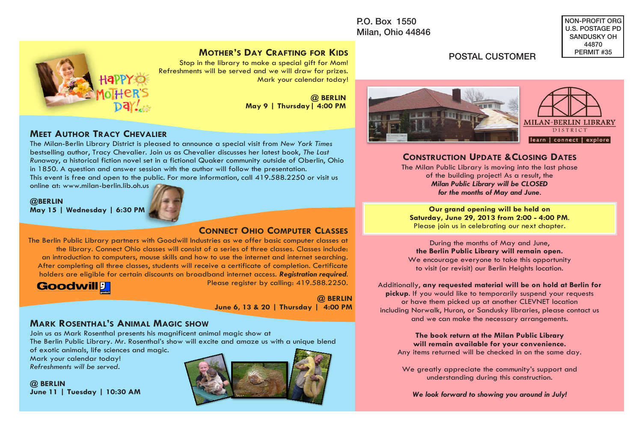P.O. Box 1550 Milan, Ohio 44846 NON-PROFIT ORG U.S. POSTAGE PD SANDUSKY OH 44870 PERMIT #35

#### **MOTHER'S DAY CRAFTING FOR KIDS**

Stop in the library to make a special gift for Mom! Refreshments will be served and we will draw for prizes. Mark your calendar today!

> **@ BERLIN May 9 | Thursday| 4:00 PM**

POSTAL CUSTOMER



### **CONSTRUCTION UPDATE &CLOSING DATES**

The Milan Public Library is moving into the last phase of the building project! As a result, the *Milan Public Library will be CLOSED for the months of May and June.*

**Our grand opening will be held on Saturday, June 29, 2013 from 2:00 - 4:00 PM**. Please join us in celebrating our next chapter.

During the months of May and June, **the Berlin Public Library will remain open.** We encourage everyone to take this opportunity to visit (or revisit) our Berlin Heights location.

#### Additionally, **any requested material will be on hold at Berlin for**

**pickup**. If you would like to temporarily suspend your requests or have them picked up at another CLEVNET location including Norwalk, Huron, or Sandusky libraries, please contact us and we can make the necessary arrangements.

> **The book return at the Milan Public Library will remain available for your convenience.**

Any items returned will be checked in on the same day.

We greatly appreciate the community's support and understanding during this construction.

*We look forward to showing you around in July!*

## **MEET AUTHOR TRACY CHEVALIER**

The Milan-Berlin Library District is pleased to announce a special visit from *New York Times*  bestselling author, Tracy Chevalier. Join us as Chevalier discusses her latest book, *The Last Runaway*, a historical fiction novel set in a fictional Quaker community outside of Oberlin, Ohio in 1850. A question and answer session with the author will follow the presentation. This event is free and open to the public. For more information, call 419.588.2250 or visit us online at: www.milan-berlin.lib.oh.us

**@BERLIN May 15 | Wednesday | 6:30 PM**



### **CONNECT OHIO COMPUTER CLASSES**

The Berlin Public Library partners with Goodwill Industries as we offer basic computer classes at the library. Connect Ohio classes will consist of a series of three classes. Classes include: an introduction to computers, mouse skills and how to use the internet and internet searching. After completing all three classes, students will receive a certificate of completion. Certificate holders are eligible for certain discounts on broadband internet access. *Registration required*. Please register by calling: 419.588.2250.



**@ BERLIN June 6, 13 & 20 | Thursday | 4:00 PM** 

#### **MARK ROSENTHAL'S ANIMAL MAGIC SHOW**

Join us as Mark Rosenthal presents his magnificent animal magic show at The Berlin Public Library. Mr. Rosenthal's show will excite and amaze us with a unique blend of exotic animals, life sciences and magic.

Mark your calendar today! *Refreshments will be served*.

**@ BERLIN June 11 | Tuesday | 10:30 AM**